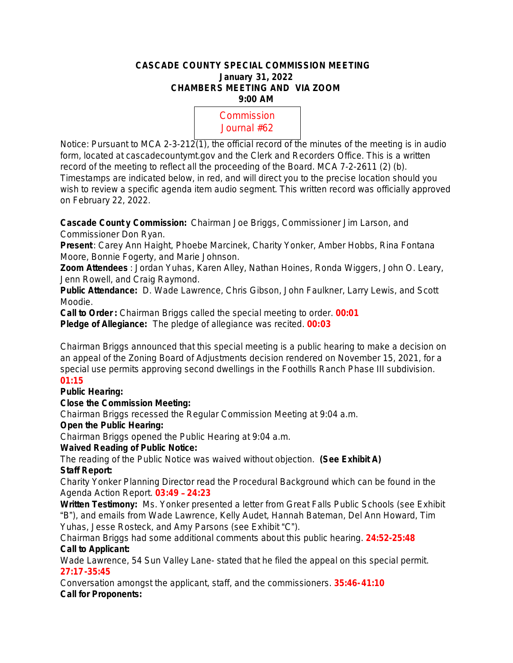#### **CASCADE COUNTY SPECIAL COMMISSION MEETING January 31, 2022 CHAMBERS MEETING AND VIA ZOOM 9:00 AM**

Commission Journal #62

Notice: Pursuant to MCA 2-3-212(1), the official record of the minutes of the meeting is in audio form, located at cascadecountymt.gov and the Clerk and Recorders Office. This is a written record of the meeting to reflect all the proceeding of the Board. MCA 7-2-2611 (2) (b). Timestamps are indicated below, in red, and will direct you to the precise location should you wish to review a specific agenda item audio segment. This written record was officially approved on February 22, 2022.

**Cascade Count y Commission:** Chairman Joe Briggs, Commissioner Jim Larson, and Commissioner Don Ryan.

**Present**: Carey Ann Haight, Phoebe Marcinek, Charity Yonker, Amber Hobbs, Rina Fontana Moore, Bonnie Fogerty, and Marie Johnson.

**Zoom Attendees** : Jordan Yuhas, Karen Alley, Nathan Hoines, Ronda Wiggers, John O. Leary, Jenn Rowell, and Craig Raymond.

**Public Attendance:** D. Wade Lawrence, Chris Gibson, John Faulkner, Larry Lewis, and Scott Moodie.

**Call to Order :** Chairman Briggs called the special meeting to order. **00:01**

**Pledge of Allegiance:** The pledge of allegiance was recited. **00:03**

Chairman Briggs announced that this special meeting is a public hearing to make a decision on an appeal of the Zoning Board of Adjustments decision rendered on November 15, 2021, for a special use permits approving second dwellings in the Foothills Ranch Phase III subdivision.

## **01:15**

## **Public Hearing:**

## **Close the Commission Meeting:**

Chairman Briggs recessed the Regular Commission Meeting at 9:04 a.m.

## **Open the Public Hearing:**

Chairman Briggs opened the Public Hearing at 9:04 a.m.

# **Waived Reading of Public Notice:**

The reading of the Public Notice was waived without objection. **(See Exhibit A) Staff Report:**

Charity Yonker Planning Director read the Procedural Background which can be found in the Agenda Action Report. **03:49** – **24:23**

**Written Testimony:** Ms. Yonker presented a letter from Great Falls Public Schools (see Exhibit "B"), and emails from Wade Lawrence, Kelly Audet, Hannah Bateman, Del Ann Howard, Tim Yuhas, Jesse Rosteck, and Amy Parsons (see Exhibit "C").

Chairman Briggs had some additional comments about this public hearing. **24:52-25:48 Call to Applicant:**

Wade Lawrence, 54 Sun Valley Lane- stated that he filed the appeal on this special permit. **27:17-35:45**

Conversation amongst the applicant, staff, and the commissioners. **35:46-41:10 Call for Proponents:**